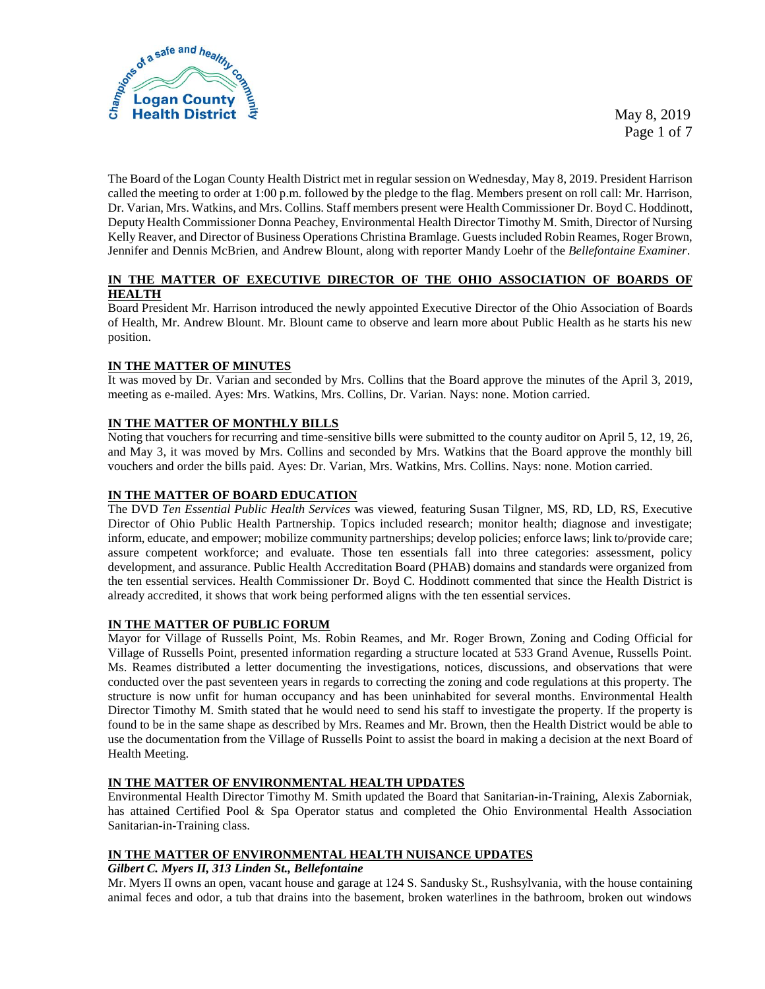

 May 8, 2019 Page 1 of 7

The Board of the Logan County Health District met in regular session on Wednesday, May 8, 2019. President Harrison called the meeting to order at 1:00 p.m. followed by the pledge to the flag. Members present on roll call: Mr. Harrison, Dr. Varian, Mrs. Watkins, and Mrs. Collins. Staff members present were Health Commissioner Dr. Boyd C. Hoddinott, Deputy Health Commissioner Donna Peachey, Environmental Health Director Timothy M. Smith, Director of Nursing Kelly Reaver, and Director of Business Operations Christina Bramlage. Guests included Robin Reames, Roger Brown, Jennifer and Dennis McBrien, and Andrew Blount, along with reporter Mandy Loehr of the *Bellefontaine Examiner*.

## **IN THE MATTER OF EXECUTIVE DIRECTOR OF THE OHIO ASSOCIATION OF BOARDS OF HEALTH**

Board President Mr. Harrison introduced the newly appointed Executive Director of the Ohio Association of Boards of Health, Mr. Andrew Blount. Mr. Blount came to observe and learn more about Public Health as he starts his new position.

## **IN THE MATTER OF MINUTES**

It was moved by Dr. Varian and seconded by Mrs. Collins that the Board approve the minutes of the April 3, 2019, meeting as e-mailed. Ayes: Mrs. Watkins, Mrs. Collins, Dr. Varian. Nays: none. Motion carried.

# **IN THE MATTER OF MONTHLY BILLS**

Noting that vouchers for recurring and time-sensitive bills were submitted to the county auditor on April 5, 12, 19, 26, and May 3, it was moved by Mrs. Collins and seconded by Mrs. Watkins that the Board approve the monthly bill vouchers and order the bills paid. Ayes: Dr. Varian, Mrs. Watkins, Mrs. Collins. Nays: none. Motion carried.

# **IN THE MATTER OF BOARD EDUCATION**

The DVD *Ten Essential Public Health Services* was viewed, featuring Susan Tilgner, MS, RD, LD, RS, Executive Director of Ohio Public Health Partnership. Topics included research; monitor health; diagnose and investigate; inform, educate, and empower; mobilize community partnerships; develop policies; enforce laws; link to/provide care; assure competent workforce; and evaluate. Those ten essentials fall into three categories: assessment, policy development, and assurance. Public Health Accreditation Board (PHAB) domains and standards were organized from the ten essential services. Health Commissioner Dr. Boyd C. Hoddinott commented that since the Health District is already accredited, it shows that work being performed aligns with the ten essential services.

## **IN THE MATTER OF PUBLIC FORUM**

Mayor for Village of Russells Point, Ms. Robin Reames, and Mr. Roger Brown, Zoning and Coding Official for Village of Russells Point, presented information regarding a structure located at 533 Grand Avenue, Russells Point. Ms. Reames distributed a letter documenting the investigations, notices, discussions, and observations that were conducted over the past seventeen years in regards to correcting the zoning and code regulations at this property. The structure is now unfit for human occupancy and has been uninhabited for several months. Environmental Health Director Timothy M. Smith stated that he would need to send his staff to investigate the property. If the property is found to be in the same shape as described by Mrs. Reames and Mr. Brown, then the Health District would be able to use the documentation from the Village of Russells Point to assist the board in making a decision at the next Board of Health Meeting.

## **IN THE MATTER OF ENVIRONMENTAL HEALTH UPDATES**

Environmental Health Director Timothy M. Smith updated the Board that Sanitarian-in-Training, Alexis Zaborniak, has attained Certified Pool & Spa Operator status and completed the Ohio Environmental Health Association Sanitarian-in-Training class.

## **IN THE MATTER OF ENVIRONMENTAL HEALTH NUISANCE UPDATES**

## *Gilbert C. Myers II, 313 Linden St., Bellefontaine*

Mr. Myers II owns an open, vacant house and garage at 124 S. Sandusky St., Rushsylvania, with the house containing animal feces and odor, a tub that drains into the basement, broken waterlines in the bathroom, broken out windows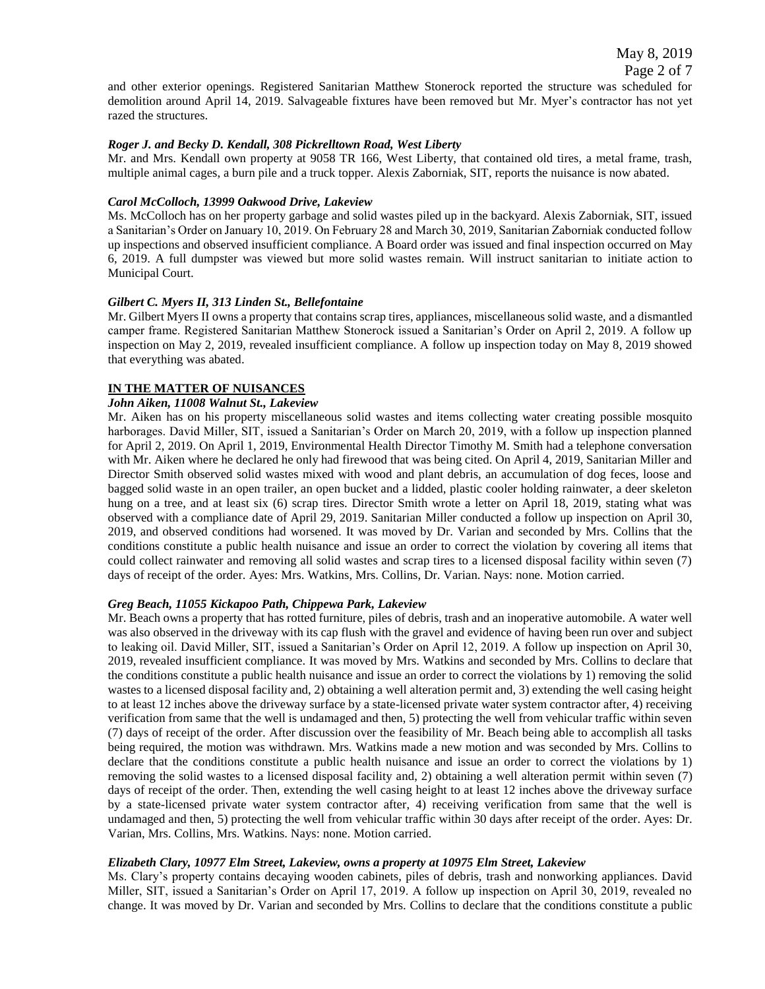and other exterior openings. Registered Sanitarian Matthew Stonerock reported the structure was scheduled for demolition around April 14, 2019. Salvageable fixtures have been removed but Mr. Myer's contractor has not yet razed the structures.

### *Roger J. and Becky D. Kendall, 308 Pickrelltown Road, West Liberty*

Mr. and Mrs. Kendall own property at 9058 TR 166, West Liberty, that contained old tires, a metal frame, trash, multiple animal cages, a burn pile and a truck topper. Alexis Zaborniak, SIT, reports the nuisance is now abated.

### *Carol McColloch, 13999 Oakwood Drive, Lakeview*

Ms. McColloch has on her property garbage and solid wastes piled up in the backyard. Alexis Zaborniak, SIT, issued a Sanitarian's Order on January 10, 2019. On February 28 and March 30, 2019, Sanitarian Zaborniak conducted follow up inspections and observed insufficient compliance. A Board order was issued and final inspection occurred on May 6, 2019. A full dumpster was viewed but more solid wastes remain. Will instruct sanitarian to initiate action to Municipal Court.

### *Gilbert C. Myers II, 313 Linden St., Bellefontaine*

Mr. Gilbert Myers II owns a property that contains scrap tires, appliances, miscellaneous solid waste, and a dismantled camper frame. Registered Sanitarian Matthew Stonerock issued a Sanitarian's Order on April 2, 2019. A follow up inspection on May 2, 2019, revealed insufficient compliance. A follow up inspection today on May 8, 2019 showed that everything was abated.

## **IN THE MATTER OF NUISANCES**

### *John Aiken, 11008 Walnut St., Lakeview*

Mr. Aiken has on his property miscellaneous solid wastes and items collecting water creating possible mosquito harborages. David Miller, SIT, issued a Sanitarian's Order on March 20, 2019, with a follow up inspection planned for April 2, 2019. On April 1, 2019, Environmental Health Director Timothy M. Smith had a telephone conversation with Mr. Aiken where he declared he only had firewood that was being cited. On April 4, 2019, Sanitarian Miller and Director Smith observed solid wastes mixed with wood and plant debris, an accumulation of dog feces, loose and bagged solid waste in an open trailer, an open bucket and a lidded, plastic cooler holding rainwater, a deer skeleton hung on a tree, and at least six (6) scrap tires. Director Smith wrote a letter on April 18, 2019, stating what was observed with a compliance date of April 29, 2019. Sanitarian Miller conducted a follow up inspection on April 30, 2019, and observed conditions had worsened. It was moved by Dr. Varian and seconded by Mrs. Collins that the conditions constitute a public health nuisance and issue an order to correct the violation by covering all items that could collect rainwater and removing all solid wastes and scrap tires to a licensed disposal facility within seven (7) days of receipt of the order. Ayes: Mrs. Watkins, Mrs. Collins, Dr. Varian. Nays: none. Motion carried.

### *Greg Beach, 11055 Kickapoo Path, Chippewa Park, Lakeview*

Mr. Beach owns a property that has rotted furniture, piles of debris, trash and an inoperative automobile. A water well was also observed in the driveway with its cap flush with the gravel and evidence of having been run over and subject to leaking oil. David Miller, SIT, issued a Sanitarian's Order on April 12, 2019. A follow up inspection on April 30, 2019, revealed insufficient compliance. It was moved by Mrs. Watkins and seconded by Mrs. Collins to declare that the conditions constitute a public health nuisance and issue an order to correct the violations by 1) removing the solid wastes to a licensed disposal facility and, 2) obtaining a well alteration permit and, 3) extending the well casing height to at least 12 inches above the driveway surface by a state-licensed private water system contractor after, 4) receiving verification from same that the well is undamaged and then, 5) protecting the well from vehicular traffic within seven (7) days of receipt of the order. After discussion over the feasibility of Mr. Beach being able to accomplish all tasks being required, the motion was withdrawn. Mrs. Watkins made a new motion and was seconded by Mrs. Collins to declare that the conditions constitute a public health nuisance and issue an order to correct the violations by 1) removing the solid wastes to a licensed disposal facility and, 2) obtaining a well alteration permit within seven (7) days of receipt of the order. Then, extending the well casing height to at least 12 inches above the driveway surface by a state-licensed private water system contractor after, 4) receiving verification from same that the well is undamaged and then, 5) protecting the well from vehicular traffic within 30 days after receipt of the order. Ayes: Dr. Varian, Mrs. Collins, Mrs. Watkins. Nays: none. Motion carried.

### *Elizabeth Clary, 10977 Elm Street, Lakeview, owns a property at 10975 Elm Street, Lakeview*

Ms. Clary's property contains decaying wooden cabinets, piles of debris, trash and nonworking appliances. David Miller, SIT, issued a Sanitarian's Order on April 17, 2019. A follow up inspection on April 30, 2019, revealed no change. It was moved by Dr. Varian and seconded by Mrs. Collins to declare that the conditions constitute a public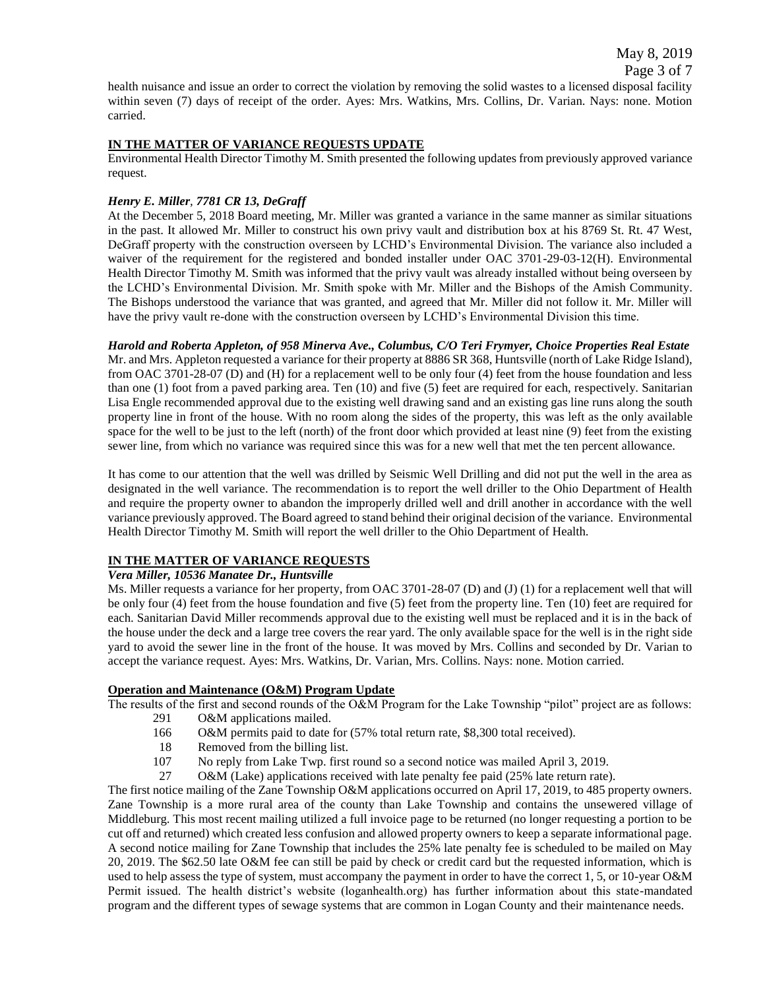Page 3 of 7

health nuisance and issue an order to correct the violation by removing the solid wastes to a licensed disposal facility within seven (7) days of receipt of the order. Ayes: Mrs. Watkins, Mrs. Collins, Dr. Varian. Nays: none. Motion carried.

# **IN THE MATTER OF VARIANCE REQUESTS UPDATE**

Environmental Health Director Timothy M. Smith presented the following updates from previously approved variance request.

## *Henry E. Miller, 7781 CR 13, DeGraff*

At the December 5, 2018 Board meeting, Mr. Miller was granted a variance in the same manner as similar situations in the past. It allowed Mr. Miller to construct his own privy vault and distribution box at his 8769 St. Rt. 47 West, DeGraff property with the construction overseen by LCHD's Environmental Division. The variance also included a waiver of the requirement for the registered and bonded installer under OAC 3701-29-03-12(H). Environmental Health Director Timothy M. Smith was informed that the privy vault was already installed without being overseen by the LCHD's Environmental Division. Mr. Smith spoke with Mr. Miller and the Bishops of the Amish Community. The Bishops understood the variance that was granted, and agreed that Mr. Miller did not follow it. Mr. Miller will have the privy vault re-done with the construction overseen by LCHD's Environmental Division this time.

*Harold and Roberta Appleton, of 958 Minerva Ave., Columbus, C/O Teri Frymyer, Choice Properties Real Estate* Mr. and Mrs. Appleton requested a variance for their property at 8886 SR 368, Huntsville (north of Lake Ridge Island), from OAC 3701-28-07 (D) and (H) for a replacement well to be only four (4) feet from the house foundation and less than one (1) foot from a paved parking area. Ten (10) and five (5) feet are required for each, respectively. Sanitarian Lisa Engle recommended approval due to the existing well drawing sand and an existing gas line runs along the south property line in front of the house. With no room along the sides of the property, this was left as the only available space for the well to be just to the left (north) of the front door which provided at least nine (9) feet from the existing sewer line, from which no variance was required since this was for a new well that met the ten percent allowance.

It has come to our attention that the well was drilled by Seismic Well Drilling and did not put the well in the area as designated in the well variance. The recommendation is to report the well driller to the Ohio Department of Health and require the property owner to abandon the improperly drilled well and drill another in accordance with the well variance previously approved. The Board agreed to stand behind their original decision of the variance. Environmental Health Director Timothy M. Smith will report the well driller to the Ohio Department of Health.

## **IN THE MATTER OF VARIANCE REQUESTS**

## *Vera Miller, 10536 Manatee Dr., Huntsville*

Ms. Miller requests a variance for her property, from OAC 3701-28-07 (D) and (J) (1) for a replacement well that will be only four (4) feet from the house foundation and five (5) feet from the property line. Ten (10) feet are required for each. Sanitarian David Miller recommends approval due to the existing well must be replaced and it is in the back of the house under the deck and a large tree covers the rear yard. The only available space for the well is in the right side yard to avoid the sewer line in the front of the house. It was moved by Mrs. Collins and seconded by Dr. Varian to accept the variance request. Ayes: Mrs. Watkins, Dr. Varian, Mrs. Collins. Nays: none. Motion carried.

## **Operation and Maintenance (O&M) Program Update**

The results of the first and second rounds of the O&M Program for the Lake Township "pilot" project are as follows:

- 291 O&M applications mailed.
- 166 O&M permits paid to date for (57% total return rate, \$8,300 total received).
- 18 Removed from the billing list.
- 107 No reply from Lake Twp. first round so a second notice was mailed April 3, 2019.
- 27 O&M (Lake) applications received with late penalty fee paid (25% late return rate).

The first notice mailing of the Zane Township O&M applications occurred on April 17, 2019, to 485 property owners. Zane Township is a more rural area of the county than Lake Township and contains the unsewered village of Middleburg. This most recent mailing utilized a full invoice page to be returned (no longer requesting a portion to be cut off and returned) which created less confusion and allowed property owners to keep a separate informational page. A second notice mailing for Zane Township that includes the 25% late penalty fee is scheduled to be mailed on May 20, 2019. The \$62.50 late O&M fee can still be paid by check or credit card but the requested information, which is used to help assess the type of system, must accompany the payment in order to have the correct 1, 5, or 10-year O&M Permit issued. The health district's website (loganhealth.org) has further information about this state-mandated program and the different types of sewage systems that are common in Logan County and their maintenance needs.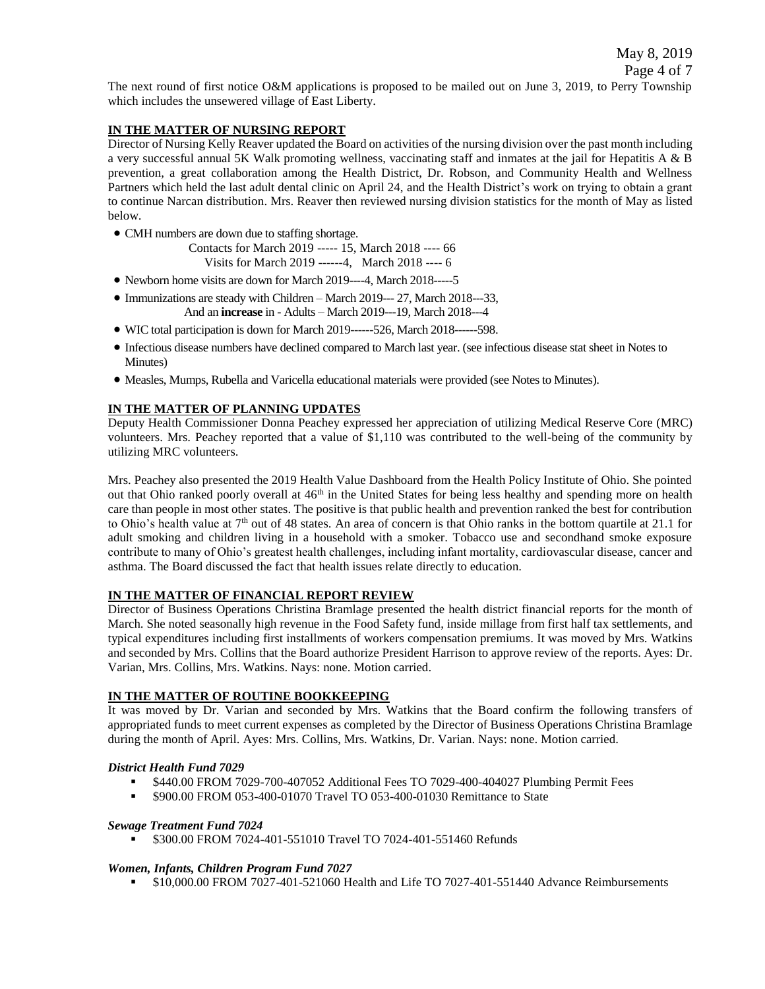Page 4 of 7 The next round of first notice O&M applications is proposed to be mailed out on June 3, 2019, to Perry Township which includes the unsewered village of East Liberty.

May 8, 2019

### **IN THE MATTER OF NURSING REPORT**

Director of Nursing Kelly Reaver updated the Board on activities of the nursing division over the past month including a very successful annual 5K Walk promoting wellness, vaccinating staff and inmates at the jail for Hepatitis A & B prevention, a great collaboration among the Health District, Dr. Robson, and Community Health and Wellness Partners which held the last adult dental clinic on April 24, and the Health District's work on trying to obtain a grant to continue Narcan distribution. Mrs. Reaver then reviewed nursing division statistics for the month of May as listed below.

CMH numbers are down due to staffing shortage.

| Contacts for March 2019 ----- 15. March 2018 ---- 66 |  |
|------------------------------------------------------|--|
| Visits for March 2019 ------4, March 2018 ---- 6     |  |

- Newborn home visits are down for March 2019----4, March 2018-----5
- Immunizations are steady with Children March 2019--- 27, March 2018---33,
	- And an **increase** in Adults March 2019---19, March 2018---4
- WIC total participation is down for March 2019------526, March 2018------598.
- Infectious disease numbers have declined compared to March last year. (see infectious disease stat sheet in Notes to Minutes)
- Measles, Mumps, Rubella and Varicella educational materials were provided (see Notes to Minutes).

### **IN THE MATTER OF PLANNING UPDATES**

Deputy Health Commissioner Donna Peachey expressed her appreciation of utilizing Medical Reserve Core (MRC) volunteers. Mrs. Peachey reported that a value of \$1,110 was contributed to the well-being of the community by utilizing MRC volunteers.

Mrs. Peachey also presented the 2019 Health Value Dashboard from the Health Policy Institute of Ohio. She pointed out that Ohio ranked poorly overall at 46<sup>th</sup> in the United States for being less healthy and spending more on health care than people in most other states. The positive is that public health and prevention ranked the best for contribution to Ohio's health value at  $7<sup>th</sup>$  out of 48 states. An area of concern is that Ohio ranks in the bottom quartile at 21.1 for adult smoking and children living in a household with a smoker. Tobacco use and secondhand smoke exposure contribute to many of Ohio's greatest health challenges, including infant mortality, cardiovascular disease, cancer and asthma. The Board discussed the fact that health issues relate directly to education.

### **IN THE MATTER OF FINANCIAL REPORT REVIEW**

Director of Business Operations Christina Bramlage presented the health district financial reports for the month of March. She noted seasonally high revenue in the Food Safety fund, inside millage from first half tax settlements, and typical expenditures including first installments of workers compensation premiums. It was moved by Mrs. Watkins and seconded by Mrs. Collins that the Board authorize President Harrison to approve review of the reports. Ayes: Dr. Varian, Mrs. Collins, Mrs. Watkins. Nays: none. Motion carried.

### **IN THE MATTER OF ROUTINE BOOKKEEPING**

It was moved by Dr. Varian and seconded by Mrs. Watkins that the Board confirm the following transfers of appropriated funds to meet current expenses as completed by the Director of Business Operations Christina Bramlage during the month of April. Ayes: Mrs. Collins, Mrs. Watkins, Dr. Varian. Nays: none. Motion carried.

### *District Health Fund 7029*

- \$440.00 FROM 7029-700-407052 Additional Fees TO 7029-400-404027 Plumbing Permit Fees
- **\$900.00 FROM 053-400-01070 Travel TO 053-400-01030 Remittance to State**

### *Sewage Treatment Fund 7024*

\$300.00 FROM 7024-401-551010 Travel TO 7024-401-551460 Refunds

### *Women, Infants, Children Program Fund 7027*

\$10,000.00 FROM 7027-401-521060 Health and Life TO 7027-401-551440 Advance Reimbursements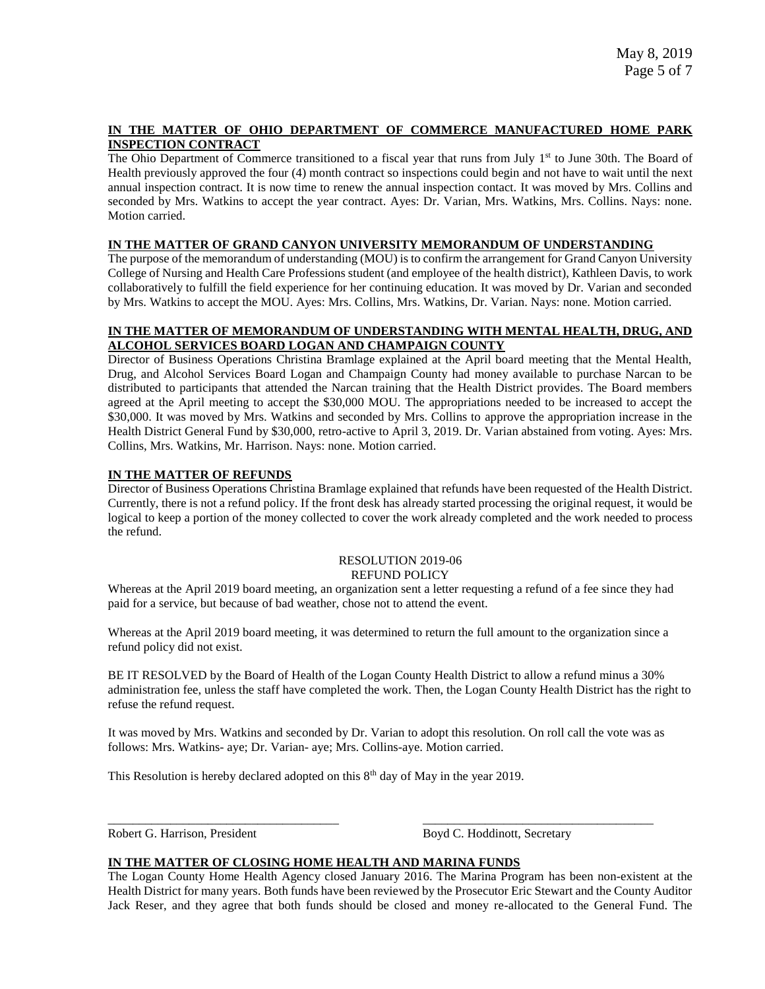## **IN THE MATTER OF OHIO DEPARTMENT OF COMMERCE MANUFACTURED HOME PARK INSPECTION CONTRACT**

The Ohio Department of Commerce transitioned to a fiscal year that runs from July 1<sup>st</sup> to June 30th. The Board of Health previously approved the four (4) month contract so inspections could begin and not have to wait until the next annual inspection contract. It is now time to renew the annual inspection contact. It was moved by Mrs. Collins and seconded by Mrs. Watkins to accept the year contract. Ayes: Dr. Varian, Mrs. Watkins, Mrs. Collins. Nays: none. Motion carried.

### **IN THE MATTER OF GRAND CANYON UNIVERSITY MEMORANDUM OF UNDERSTANDING**

The purpose of the memorandum of understanding (MOU) is to confirm the arrangement for Grand Canyon University College of Nursing and Health Care Professions student (and employee of the health district), Kathleen Davis, to work collaboratively to fulfill the field experience for her continuing education. It was moved by Dr. Varian and seconded by Mrs. Watkins to accept the MOU. Ayes: Mrs. Collins, Mrs. Watkins, Dr. Varian. Nays: none. Motion carried.

## **IN THE MATTER OF MEMORANDUM OF UNDERSTANDING WITH MENTAL HEALTH, DRUG, AND ALCOHOL SERVICES BOARD LOGAN AND CHAMPAIGN COUNTY**

Director of Business Operations Christina Bramlage explained at the April board meeting that the Mental Health, Drug, and Alcohol Services Board Logan and Champaign County had money available to purchase Narcan to be distributed to participants that attended the Narcan training that the Health District provides. The Board members agreed at the April meeting to accept the \$30,000 MOU. The appropriations needed to be increased to accept the \$30,000. It was moved by Mrs. Watkins and seconded by Mrs. Collins to approve the appropriation increase in the Health District General Fund by \$30,000, retro-active to April 3, 2019. Dr. Varian abstained from voting. Ayes: Mrs. Collins, Mrs. Watkins, Mr. Harrison. Nays: none. Motion carried.

## **IN THE MATTER OF REFUNDS**

Director of Business Operations Christina Bramlage explained that refunds have been requested of the Health District. Currently, there is not a refund policy. If the front desk has already started processing the original request, it would be logical to keep a portion of the money collected to cover the work already completed and the work needed to process the refund.

#### RESOLUTION 2019-06 REFUND POLICY

Whereas at the April 2019 board meeting, an organization sent a letter requesting a refund of a fee since they had paid for a service, but because of bad weather, chose not to attend the event.

Whereas at the April 2019 board meeting, it was determined to return the full amount to the organization since a refund policy did not exist.

BE IT RESOLVED by the Board of Health of the Logan County Health District to allow a refund minus a 30% administration fee, unless the staff have completed the work. Then, the Logan County Health District has the right to refuse the refund request.

It was moved by Mrs. Watkins and seconded by Dr. Varian to adopt this resolution. On roll call the vote was as follows: Mrs. Watkins- aye; Dr. Varian- aye; Mrs. Collins-aye. Motion carried.

\_\_\_\_\_\_\_\_\_\_\_\_\_\_\_\_\_\_\_\_\_\_\_\_\_\_\_\_\_\_\_\_\_\_\_\_\_ \_\_\_\_\_\_\_\_\_\_\_\_\_\_\_\_\_\_\_\_\_\_\_\_\_\_\_\_\_\_\_\_\_\_\_\_\_

This Resolution is hereby declared adopted on this  $8<sup>th</sup>$  day of May in the year 2019.

Robert G. Harrison, President Boyd C. Hoddinott, Secretary

## **IN THE MATTER OF CLOSING HOME HEALTH AND MARINA FUNDS**

The Logan County Home Health Agency closed January 2016. The Marina Program has been non-existent at the Health District for many years. Both funds have been reviewed by the Prosecutor Eric Stewart and the County Auditor Jack Reser, and they agree that both funds should be closed and money re-allocated to the General Fund. The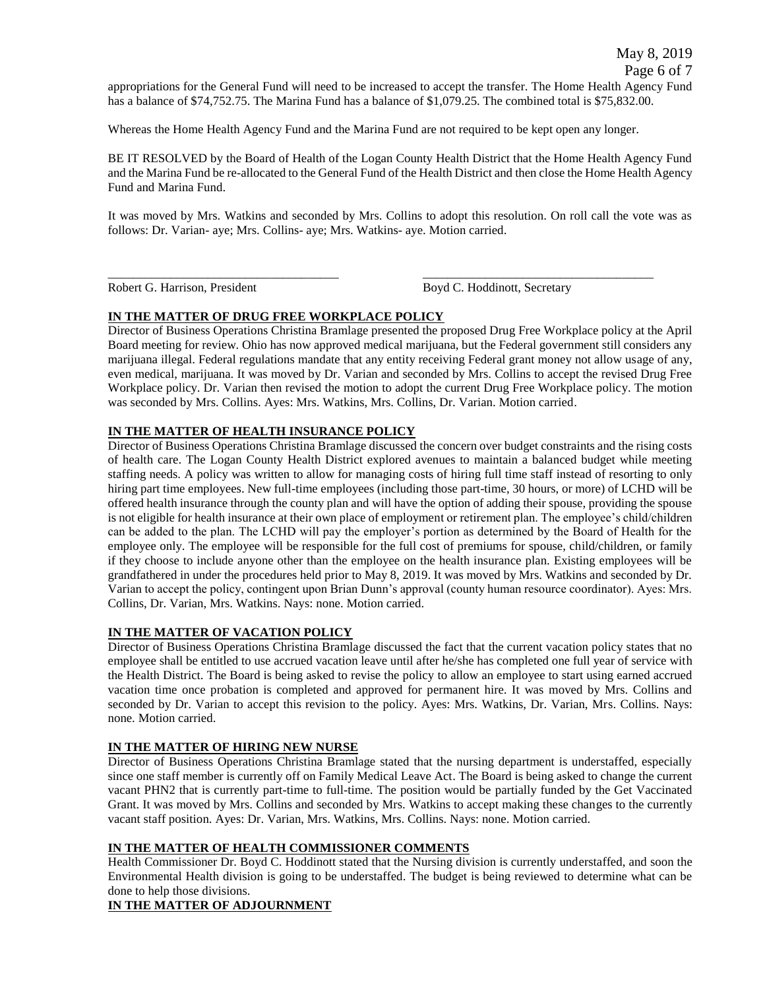appropriations for the General Fund will need to be increased to accept the transfer. The Home Health Agency Fund has a balance of \$74,752.75. The Marina Fund has a balance of \$1,079.25. The combined total is \$75,832.00.

Whereas the Home Health Agency Fund and the Marina Fund are not required to be kept open any longer.

BE IT RESOLVED by the Board of Health of the Logan County Health District that the Home Health Agency Fund and the Marina Fund be re-allocated to the General Fund of the Health District and then close the Home Health Agency Fund and Marina Fund.

It was moved by Mrs. Watkins and seconded by Mrs. Collins to adopt this resolution. On roll call the vote was as follows: Dr. Varian- aye; Mrs. Collins- aye; Mrs. Watkins- aye. Motion carried.

\_\_\_\_\_\_\_\_\_\_\_\_\_\_\_\_\_\_\_\_\_\_\_\_\_\_\_\_\_\_\_\_\_\_\_\_\_ \_\_\_\_\_\_\_\_\_\_\_\_\_\_\_\_\_\_\_\_\_\_\_\_\_\_\_\_\_\_\_\_\_\_\_\_\_ Robert G. Harrison, President Boyd C. Hoddinott, Secretary

# **IN THE MATTER OF DRUG FREE WORKPLACE POLICY**

Director of Business Operations Christina Bramlage presented the proposed Drug Free Workplace policy at the April Board meeting for review. Ohio has now approved medical marijuana, but the Federal government still considers any marijuana illegal. Federal regulations mandate that any entity receiving Federal grant money not allow usage of any, even medical, marijuana. It was moved by Dr. Varian and seconded by Mrs. Collins to accept the revised Drug Free Workplace policy. Dr. Varian then revised the motion to adopt the current Drug Free Workplace policy. The motion was seconded by Mrs. Collins. Ayes: Mrs. Watkins, Mrs. Collins, Dr. Varian. Motion carried.

# **IN THE MATTER OF HEALTH INSURANCE POLICY**

Director of Business Operations Christina Bramlage discussed the concern over budget constraints and the rising costs of health care. The Logan County Health District explored avenues to maintain a balanced budget while meeting staffing needs. A policy was written to allow for managing costs of hiring full time staff instead of resorting to only hiring part time employees. New full-time employees (including those part-time, 30 hours, or more) of LCHD will be offered health insurance through the county plan and will have the option of adding their spouse, providing the spouse is not eligible for health insurance at their own place of employment or retirement plan. The employee's child/children can be added to the plan. The LCHD will pay the employer's portion as determined by the Board of Health for the employee only. The employee will be responsible for the full cost of premiums for spouse, child/children, or family if they choose to include anyone other than the employee on the health insurance plan. Existing employees will be grandfathered in under the procedures held prior to May 8, 2019. It was moved by Mrs. Watkins and seconded by Dr. Varian to accept the policy, contingent upon Brian Dunn's approval (county human resource coordinator). Ayes: Mrs. Collins, Dr. Varian, Mrs. Watkins. Nays: none. Motion carried.

# **IN THE MATTER OF VACATION POLICY**

Director of Business Operations Christina Bramlage discussed the fact that the current vacation policy states that no employee shall be entitled to use accrued vacation leave until after he/she has completed one full year of service with the Health District. The Board is being asked to revise the policy to allow an employee to start using earned accrued vacation time once probation is completed and approved for permanent hire. It was moved by Mrs. Collins and seconded by Dr. Varian to accept this revision to the policy. Ayes: Mrs. Watkins, Dr. Varian, Mrs. Collins. Nays: none. Motion carried.

# **IN THE MATTER OF HIRING NEW NURSE**

Director of Business Operations Christina Bramlage stated that the nursing department is understaffed, especially since one staff member is currently off on Family Medical Leave Act. The Board is being asked to change the current vacant PHN2 that is currently part-time to full-time. The position would be partially funded by the Get Vaccinated Grant. It was moved by Mrs. Collins and seconded by Mrs. Watkins to accept making these changes to the currently vacant staff position. Ayes: Dr. Varian, Mrs. Watkins, Mrs. Collins. Nays: none. Motion carried.

# **IN THE MATTER OF HEALTH COMMISSIONER COMMENTS**

Health Commissioner Dr. Boyd C. Hoddinott stated that the Nursing division is currently understaffed, and soon the Environmental Health division is going to be understaffed. The budget is being reviewed to determine what can be done to help those divisions.

# **IN THE MATTER OF ADJOURNMENT**